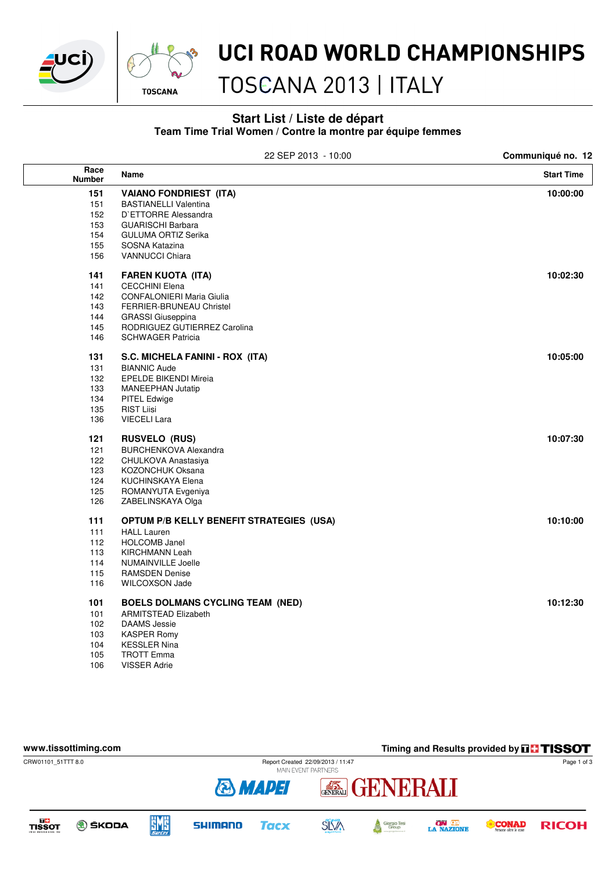



### UCI ROAD WORLD CHAMPIONSHIPS

# TOSCANA 2013 | ITALY

#### **Start List / Liste de départ Team Time Trial Women / Contre la montre par équipe femmes**

|                       | 22 SEP 2013 - 10:00                             | Communiqué no. 12 |
|-----------------------|-------------------------------------------------|-------------------|
| Race<br><b>Number</b> | Name                                            | <b>Start Time</b> |
| 151                   | <b>VAIANO FONDRIEST (ITA)</b>                   | 10:00:00          |
| 151                   | <b>BASTIANELLI Valentina</b>                    |                   |
| 152                   | D'ETTORRE Alessandra                            |                   |
| 153                   | <b>GUARISCHI Barbara</b>                        |                   |
| 154                   | <b>GULUMA ORTIZ Serika</b>                      |                   |
| 155                   | SOSNA Katazina                                  |                   |
| 156                   | <b>VANNUCCI Chiara</b>                          |                   |
| 141                   | <b>FAREN KUOTA (ITA)</b>                        | 10:02:30          |
| 141                   | <b>CECCHINI Elena</b>                           |                   |
| 142                   | <b>CONFALONIERI Maria Giulia</b>                |                   |
| 143                   | FERRIER-BRUNEAU Christel                        |                   |
| 144                   | <b>GRASSI</b> Giuseppina                        |                   |
| 145                   | RODRIGUEZ GUTIERREZ Carolina                    |                   |
| 146                   | <b>SCHWAGER Patricia</b>                        |                   |
| 131                   | S.C. MICHELA FANINI - ROX (ITA)                 | 10:05:00          |
| 131                   | <b>BIANNIC Aude</b>                             |                   |
| 132                   | <b>EPELDE BIKENDI Mireia</b>                    |                   |
| 133                   | <b>MANEEPHAN Jutatip</b>                        |                   |
| 134                   | <b>PITEL Edwige</b>                             |                   |
| 135                   | <b>RIST Liisi</b>                               |                   |
| 136                   | <b>VIECELI Lara</b>                             |                   |
| 121                   | <b>RUSVELO (RUS)</b>                            | 10:07:30          |
| 121                   | <b>BURCHENKOVA Alexandra</b>                    |                   |
| 122                   | CHULKOVA Anastasiya                             |                   |
| 123                   | KOZONCHUK Oksana                                |                   |
| 124                   | KUCHINSKAYA Elena                               |                   |
| 125                   | ROMANYUTA Evgeniya                              |                   |
| 126                   | ZABELINSKAYA Olga                               |                   |
| 111                   | <b>OPTUM P/B KELLY BENEFIT STRATEGIES (USA)</b> | 10:10:00          |
| 111                   | <b>HALL Lauren</b>                              |                   |
| 112                   | <b>HOLCOMB Janel</b>                            |                   |
| 113                   | <b>KIRCHMANN Leah</b>                           |                   |
| 114                   | NUMAINVILLE Joelle                              |                   |
| 115                   | <b>RAMSDEN Denise</b>                           |                   |
| 116                   | <b>WILCOXSON Jade</b>                           |                   |
| 101                   | <b>BOELS DOLMANS CYCLING TEAM (NED)</b>         | 10:12:30          |
| 101                   | <b>ARMITSTEAD Elizabeth</b>                     |                   |
| 102                   | <b>DAAMS</b> Jessie                             |                   |
| 103                   | <b>KASPER Romy</b>                              |                   |
| 104                   | <b>KESSLER Nina</b>                             |                   |
|                       |                                                 |                   |



106 VISSER Adrie

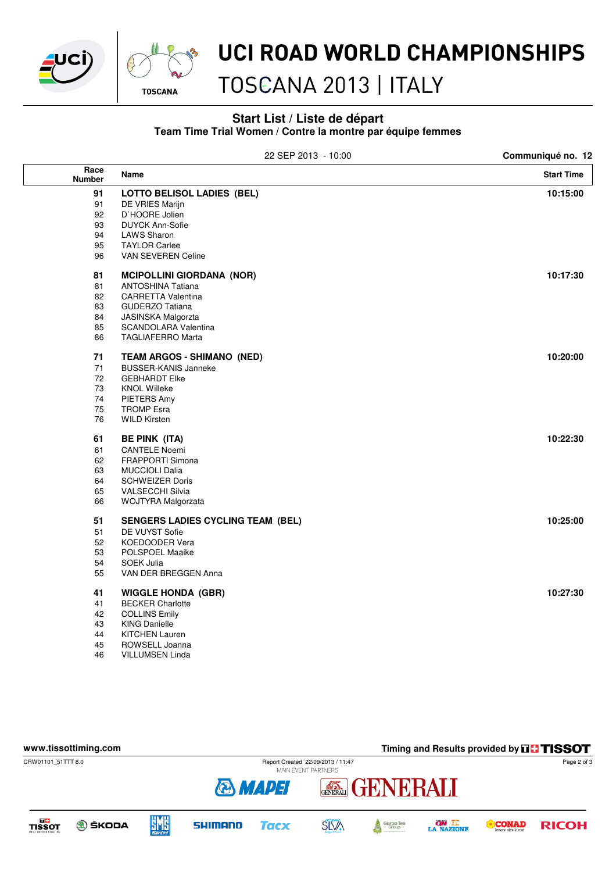



## UCI ROAD WORLD CHAMPIONSHIPS

# TOSCANA 2013 | ITALY

#### **Start List / Liste de départ Team Time Trial Women / Contre la montre par équipe femmes**

|                       | 22 SEP 2013 - 10:00                      | Communiqué no. 12 |
|-----------------------|------------------------------------------|-------------------|
| Race<br><b>Number</b> | Name                                     | <b>Start Time</b> |
| 91                    | <b>LOTTO BELISOL LADIES (BEL)</b>        | 10:15:00          |
| 91                    | DE VRIES Marijn                          |                   |
| 92                    | D'HOORE Jolien                           |                   |
| 93                    | <b>DUYCK Ann-Sofie</b>                   |                   |
| 94                    | <b>LAWS Sharon</b>                       |                   |
| 95                    | <b>TAYLOR Carlee</b>                     |                   |
| 96                    | VAN SEVEREN Celine                       |                   |
| 81                    | <b>MCIPOLLINI GIORDANA (NOR)</b>         | 10:17:30          |
| 81                    | <b>ANTOSHINA Tatiana</b>                 |                   |
| 82                    | <b>CARRETTA Valentina</b>                |                   |
| 83                    | <b>GUDERZO Tatiana</b>                   |                   |
| 84                    | JASINSKA Malgorzta                       |                   |
| 85                    | SCANDOLARA Valentina                     |                   |
| 86                    | <b>TAGLIAFERRO Marta</b>                 |                   |
| 71                    | <b>TEAM ARGOS - SHIMANO (NED)</b>        | 10:20:00          |
| 71                    | <b>BUSSER-KANIS Janneke</b>              |                   |
| 72                    | <b>GEBHARDT Elke</b>                     |                   |
| 73                    | <b>KNOL Willeke</b>                      |                   |
| 74                    | PIETERS Amy                              |                   |
| 75                    | <b>TROMP</b> Esra                        |                   |
| 76                    | <b>WILD Kirsten</b>                      |                   |
| 61                    | <b>BE PINK (ITA)</b>                     | 10:22:30          |
| 61                    | <b>CANTELE Noemi</b>                     |                   |
| 62                    | <b>FRAPPORTI Simona</b>                  |                   |
| 63                    | <b>MUCCIOLI Dalia</b>                    |                   |
| 64                    | <b>SCHWEIZER Doris</b>                   |                   |
| 65                    | <b>VALSECCHI Silvia</b>                  |                   |
| 66                    | WOJTYRA Malgorzata                       |                   |
| 51                    | <b>SENGERS LADIES CYCLING TEAM (BEL)</b> | 10:25:00          |
| 51                    | DE VUYST Sofie                           |                   |
| 52                    | KOEDOODER Vera                           |                   |
| 53                    | POLSPOEL Maaike                          |                   |
| 54                    | SOEK Julia                               |                   |
| 55                    | VAN DER BREGGEN Anna                     |                   |
| 41                    | <b>WIGGLE HONDA (GBR)</b>                | 10:27:30          |
| 41                    | <b>BECKER Charlotte</b>                  |                   |
| 42                    | <b>COLLINS Emily</b>                     |                   |
| 43                    | <b>KING Danielle</b>                     |                   |
| 44                    | <b>KITCHEN Lauren</b>                    |                   |
| 45                    | ROWSELL Joanna                           |                   |
| 46                    | VILLUMSEN Linda                          |                   |